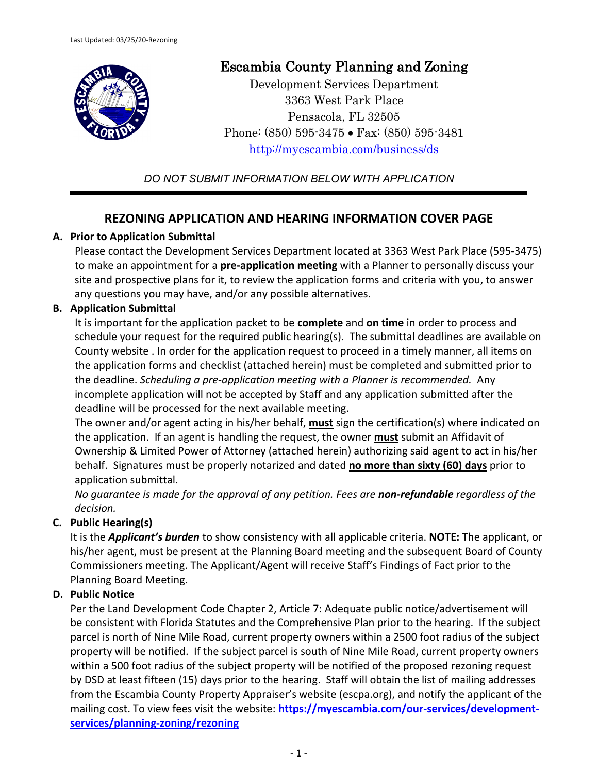

# Escambia County Planning and Zoning

Development Services Department 3363 West Park Place Pensacola, FL 32505 Phone: (850) 595-3475 • Fax: (850) 595-3481 <http://myescambia.com/business/ds>

*DO NOT SUBMIT INFORMATION BELOW WITH APPLICATION*

## **REZONING APPLICATION AND HEARING INFORMATION COVER PAGE**

## **A. Prior to Application Submittal**

Please contact the Development Services Department located at 3363 West Park Place (595-3475) to make an appointment for a **pre-application meeting** with a Planner to personally discuss your site and prospective plans for it, to review the application forms and criteria with you, to answer any questions you may have, and/or any possible alternatives.

## **B. Application Submittal**

It is important for the application packet to be **complete** and **on time** in order to process and schedule your request for the required public hearing(s). The submittal deadlines are available on County website . In order for the application request to proceed in a timely manner, all items on the application forms and checklist (attached herein) must be completed and submitted prior to the deadline. *Scheduling a pre-application meeting with a Planner is recommended.* Any incomplete application will not be accepted by Staff and any application submitted after the deadline will be processed for the next available meeting.

The owner and/or agent acting in his/her behalf, **must** sign the certification(s) where indicated on the application. If an agent is handling the request, the owner **must** submit an Affidavit of Ownership & Limited Power of Attorney (attached herein) authorizing said agent to act in his/her behalf. Signatures must be properly notarized and dated **no more than sixty (60) days** prior to application submittal.

*No guarantee is made for the approval of any petition. Fees are non-refundable regardless of the decision.*

## **C. Public Hearing(s)**

It is the *Applicant's burden* to show consistency with all applicable criteria. **NOTE:** The applicant, or his/her agent, must be present at the Planning Board meeting and the subsequent Board of County Commissioners meeting. The Applicant/Agent will receive Staff's Findings of Fact prior to the Planning Board Meeting.

## **D. Public Notice**

Per the Land Development Code Chapter 2, Article 7: Adequate public notice/advertisement will be consistent with Florida Statutes and the Comprehensive Plan prior to the hearing. If the subject parcel is north of Nine Mile Road, current property owners within a 2500 foot radius of the subject property will be notified. If the subject parcel is south of Nine Mile Road, current property owners within a 500 foot radius of the subject property will be notified of the proposed rezoning request by DSD at least fifteen (15) days prior to the hearing. Staff will obtain the list of mailing addresses from the Escambia County Property Appraiser's website (escpa.org), and notify the applicant of the mailing cost. To view fees visit the website: **[https://myescambia.com/our-services/development](https://myescambia.com/our-services/development-services/planning-zoning/rezoning)[services/planning-zoning/rezoning](https://myescambia.com/our-services/development-services/planning-zoning/rezoning)**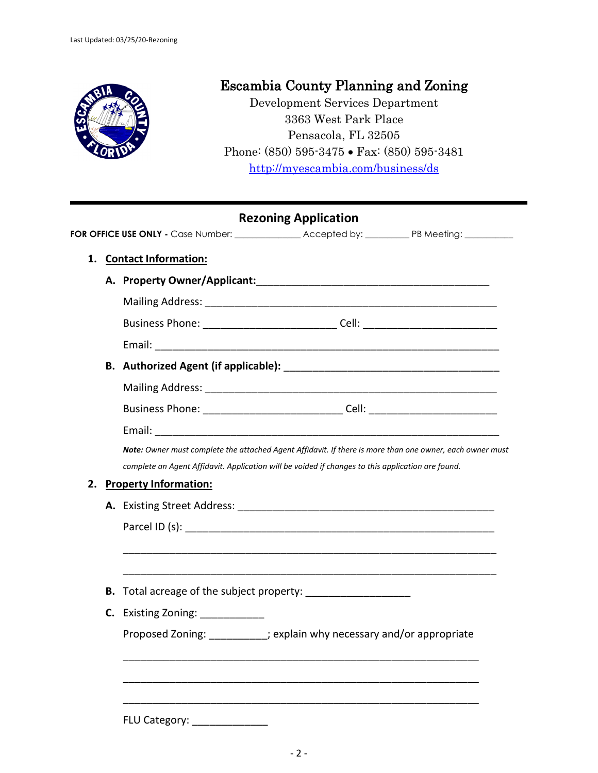

# Escambia County Planning and Zoning

Development Services Department 3363 West Park Place Pensacola, FL 32505 Phone: (850) 595-3475 • Fax: (850) 595-3481 <http://myescambia.com/business/ds>

|    |                             |                              | <b>Rezoning Application</b>                                                                                                                                                                                   |  |
|----|-----------------------------|------------------------------|---------------------------------------------------------------------------------------------------------------------------------------------------------------------------------------------------------------|--|
|    |                             |                              | FOR OFFICE USE ONLY - Case Number: ________________ Accepted by: ___________ PB Meeting: __________                                                                                                           |  |
| 1. | <b>Contact Information:</b> |                              |                                                                                                                                                                                                               |  |
|    |                             |                              |                                                                                                                                                                                                               |  |
|    |                             |                              |                                                                                                                                                                                                               |  |
|    |                             |                              | Business Phone: ________________________________Cell: __________________________                                                                                                                              |  |
|    |                             |                              |                                                                                                                                                                                                               |  |
|    |                             |                              |                                                                                                                                                                                                               |  |
|    |                             |                              |                                                                                                                                                                                                               |  |
|    |                             |                              |                                                                                                                                                                                                               |  |
|    |                             |                              | Business Phone: _________________________________Cell: _________________________                                                                                                                              |  |
|    |                             |                              |                                                                                                                                                                                                               |  |
|    |                             |                              | Note: Owner must complete the attached Agent Affidavit. If there is more than one owner, each owner must<br>complete an Agent Affidavit. Application will be voided if changes to this application are found. |  |
| 2. |                             | <b>Property Information:</b> |                                                                                                                                                                                                               |  |
|    |                             |                              |                                                                                                                                                                                                               |  |
|    |                             |                              |                                                                                                                                                                                                               |  |
|    |                             |                              |                                                                                                                                                                                                               |  |
|    | В.                          |                              |                                                                                                                                                                                                               |  |
|    |                             | C. Existing Zoning: 1990     |                                                                                                                                                                                                               |  |
|    |                             |                              | Proposed Zoning: _________; explain why necessary and/or appropriate                                                                                                                                          |  |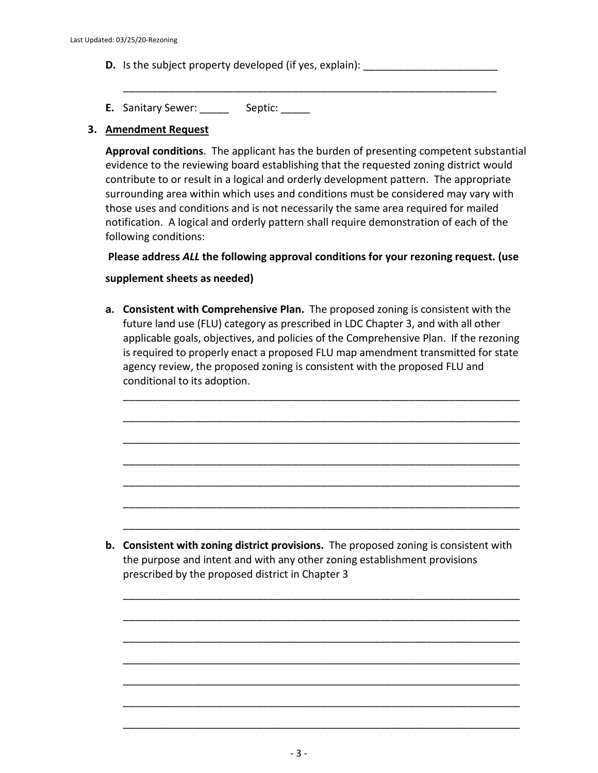- **D.** Is the subject property developed (if yes, explain):
- E. Sanitary Sewer: \_\_\_\_\_\_ Septic: \_\_\_\_\_

### **3. Amendment Request**

**Approval conditions**. The applicant has the burden of presenting competent substantial evidence to the reviewing board establishing that the requested zoning district would contribute to or result in a logical and orderly development pattern. The appropriate surrounding area within which uses and conditions must be considered may vary with those uses and conditions and is not necessarily the same area required for mailed notification. A logical and orderly pattern shall require demonstration of each of the following conditions:

\_\_\_\_\_\_\_\_\_\_\_\_\_\_\_\_\_\_\_\_\_\_\_\_\_\_\_\_\_\_\_\_\_\_\_\_\_\_\_\_\_\_\_\_\_\_\_\_\_\_\_\_\_\_\_\_\_\_\_\_\_\_\_\_

**Please address** *ALL* **the following approval conditions for your rezoning request. (use** 

## **supplement sheets as needed)**

**a. Consistent with Comprehensive Plan.** The proposed zoning is consistent with the future land use (FLU) category as prescribed in LDC Chapter 3, and with all other applicable goals, objectives, and policies of the Comprehensive Plan. If the rezoning is required to properly enact a proposed FLU map amendment transmitted for state agency review, the proposed zoning is consistent with the proposed FLU and conditional to its adoption.

\_\_\_\_\_\_\_\_\_\_\_\_\_\_\_\_\_\_\_\_\_\_\_\_\_\_\_\_\_\_\_\_\_\_\_\_\_\_\_\_\_\_\_\_\_\_\_\_\_\_\_\_\_\_\_\_\_\_\_\_\_\_\_\_\_\_\_\_

\_\_\_\_\_\_\_\_\_\_\_\_\_\_\_\_\_\_\_\_\_\_\_\_\_\_\_\_\_\_\_\_\_\_\_\_\_\_\_\_\_\_\_\_\_\_\_\_\_\_\_\_\_\_\_\_\_\_\_\_\_\_\_\_\_\_\_\_

\_\_\_\_\_\_\_\_\_\_\_\_\_\_\_\_\_\_\_\_\_\_\_\_\_\_\_\_\_\_\_\_\_\_\_\_\_\_\_\_\_\_\_\_\_\_\_\_\_\_\_\_\_\_\_\_\_\_\_\_\_\_\_\_\_\_\_\_

\_\_\_\_\_\_\_\_\_\_\_\_\_\_\_\_\_\_\_\_\_\_\_\_\_\_\_\_\_\_\_\_\_\_\_\_\_\_\_\_\_\_\_\_\_\_\_\_\_\_\_\_\_\_\_\_\_\_\_\_\_\_\_\_\_\_\_\_

\_\_\_\_\_\_\_\_\_\_\_\_\_\_\_\_\_\_\_\_\_\_\_\_\_\_\_\_\_\_\_\_\_\_\_\_\_\_\_\_\_\_\_\_\_\_\_\_\_\_\_\_\_\_\_\_\_\_\_\_\_\_\_\_\_\_\_\_

\_\_\_\_\_\_\_\_\_\_\_\_\_\_\_\_\_\_\_\_\_\_\_\_\_\_\_\_\_\_\_\_\_\_\_\_\_\_\_\_\_\_\_\_\_\_\_\_\_\_\_\_\_\_\_\_\_\_\_\_\_\_\_\_\_\_\_\_

\_\_\_\_\_\_\_\_\_\_\_\_\_\_\_\_\_\_\_\_\_\_\_\_\_\_\_\_\_\_\_\_\_\_\_\_\_\_\_\_\_\_\_\_\_\_\_\_\_\_\_\_\_\_\_\_\_\_\_\_\_\_\_\_\_\_\_\_

\_\_\_\_\_\_\_\_\_\_\_\_\_\_\_\_\_\_\_\_\_\_\_\_\_\_\_\_\_\_\_\_\_\_\_\_\_\_\_\_\_\_\_\_\_\_\_\_\_\_\_\_\_\_\_\_\_\_\_\_\_\_\_\_\_\_\_\_

\_\_\_\_\_\_\_\_\_\_\_\_\_\_\_\_\_\_\_\_\_\_\_\_\_\_\_\_\_\_\_\_\_\_\_\_\_\_\_\_\_\_\_\_\_\_\_\_\_\_\_\_\_\_\_\_\_\_\_\_\_\_\_\_\_\_\_\_

\_\_\_\_\_\_\_\_\_\_\_\_\_\_\_\_\_\_\_\_\_\_\_\_\_\_\_\_\_\_\_\_\_\_\_\_\_\_\_\_\_\_\_\_\_\_\_\_\_\_\_\_\_\_\_\_\_\_\_\_\_\_\_\_\_\_\_\_

\_\_\_\_\_\_\_\_\_\_\_\_\_\_\_\_\_\_\_\_\_\_\_\_\_\_\_\_\_\_\_\_\_\_\_\_\_\_\_\_\_\_\_\_\_\_\_\_\_\_\_\_\_\_\_\_\_\_\_\_\_\_\_\_\_\_\_\_

\_\_\_\_\_\_\_\_\_\_\_\_\_\_\_\_\_\_\_\_\_\_\_\_\_\_\_\_\_\_\_\_\_\_\_\_\_\_\_\_\_\_\_\_\_\_\_\_\_\_\_\_\_\_\_\_\_\_\_\_\_\_\_\_\_\_\_\_

\_\_\_\_\_\_\_\_\_\_\_\_\_\_\_\_\_\_\_\_\_\_\_\_\_\_\_\_\_\_\_\_\_\_\_\_\_\_\_\_\_\_\_\_\_\_\_\_\_\_\_\_\_\_\_\_\_\_\_\_\_\_\_\_\_\_\_\_

\_\_\_\_\_\_\_\_\_\_\_\_\_\_\_\_\_\_\_\_\_\_\_\_\_\_\_\_\_\_\_\_\_\_\_\_\_\_\_\_\_\_\_\_\_\_\_\_\_\_\_\_\_\_\_\_\_\_\_\_\_\_\_\_\_\_\_\_

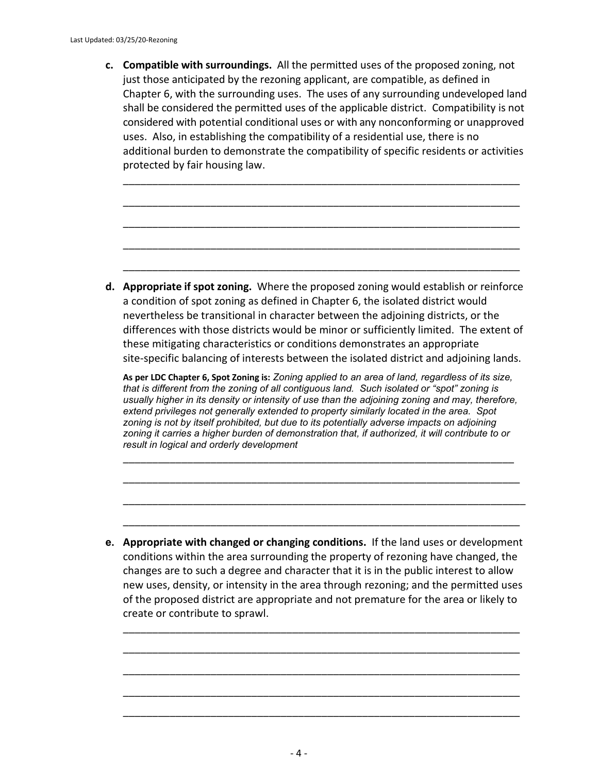**c. Compatible with surroundings.** All the permitted uses of the proposed zoning, not just those anticipated by the rezoning applicant, are compatible, as defined in Chapter 6, with the surrounding uses. The uses of any surrounding undeveloped land shall be considered the permitted uses of the applicable district. Compatibility is not considered with potential conditional uses or with any nonconforming or unapproved uses. Also, in establishing the compatibility of a residential use, there is no additional burden to demonstrate the compatibility of specific residents or activities protected by fair housing law.

\_\_\_\_\_\_\_\_\_\_\_\_\_\_\_\_\_\_\_\_\_\_\_\_\_\_\_\_\_\_\_\_\_\_\_\_\_\_\_\_\_\_\_\_\_\_\_\_\_\_\_\_\_\_\_\_\_\_\_\_\_\_\_\_\_\_\_\_

\_\_\_\_\_\_\_\_\_\_\_\_\_\_\_\_\_\_\_\_\_\_\_\_\_\_\_\_\_\_\_\_\_\_\_\_\_\_\_\_\_\_\_\_\_\_\_\_\_\_\_\_\_\_\_\_\_\_\_\_\_\_\_\_\_\_\_\_

\_\_\_\_\_\_\_\_\_\_\_\_\_\_\_\_\_\_\_\_\_\_\_\_\_\_\_\_\_\_\_\_\_\_\_\_\_\_\_\_\_\_\_\_\_\_\_\_\_\_\_\_\_\_\_\_\_\_\_\_\_\_\_\_\_\_\_\_

\_\_\_\_\_\_\_\_\_\_\_\_\_\_\_\_\_\_\_\_\_\_\_\_\_\_\_\_\_\_\_\_\_\_\_\_\_\_\_\_\_\_\_\_\_\_\_\_\_\_\_\_\_\_\_\_\_\_\_\_\_\_\_\_\_\_\_\_

\_\_\_\_\_\_\_\_\_\_\_\_\_\_\_\_\_\_\_\_\_\_\_\_\_\_\_\_\_\_\_\_\_\_\_\_\_\_\_\_\_\_\_\_\_\_\_\_\_\_\_\_\_\_\_\_\_\_\_\_\_\_\_\_\_\_\_\_

**d. Appropriate if spot zoning.** Where the proposed zoning would establish or reinforce a condition of spot zoning as defined in Chapter 6, the isolated district would nevertheless be transitional in character between the adjoining districts, or the differences with those districts would be minor or sufficiently limited. The extent of these mitigating characteristics or conditions demonstrates an appropriate site-specific balancing of interests between the isolated district and adjoining lands.

**As per LDC Chapter 6, Spot Zoning is:** *Zoning applied to an area of land, regardless of its size, that is different from the zoning of all contiguous land. Such isolated or "spot" zoning is usually higher in its density or intensity of use than the adjoining zoning and may, therefore, extend privileges not generally extended to property similarly located in the area. Spot zoning is not by itself prohibited, but due to its potentially adverse impacts on adjoining zoning it carries a higher burden of demonstration that, if authorized, it will contribute to or result in logical and orderly development*

\_\_\_\_\_\_\_\_\_\_\_\_\_\_\_\_\_\_\_\_\_\_\_\_\_\_\_\_\_\_\_\_\_\_\_\_\_\_\_\_\_\_\_\_\_\_\_\_\_\_\_\_\_\_\_\_\_\_\_\_\_\_\_\_\_\_\_

\_\_\_\_\_\_\_\_\_\_\_\_\_\_\_\_\_\_\_\_\_\_\_\_\_\_\_\_\_\_\_\_\_\_\_\_\_\_\_\_\_\_\_\_\_\_\_\_\_\_\_\_\_\_\_\_\_\_\_\_\_\_\_\_\_\_\_\_

\_\_\_\_\_\_\_\_\_\_\_\_\_\_\_\_\_\_\_\_\_\_\_\_\_\_\_\_\_\_\_\_\_\_\_\_\_\_\_\_\_\_\_\_\_\_\_\_\_\_\_\_\_\_\_\_\_\_\_\_\_\_\_\_\_\_\_\_\_

\_\_\_\_\_\_\_\_\_\_\_\_\_\_\_\_\_\_\_\_\_\_\_\_\_\_\_\_\_\_\_\_\_\_\_\_\_\_\_\_\_\_\_\_\_\_\_\_\_\_\_\_\_\_\_\_\_\_\_\_\_\_\_\_\_\_\_\_

**e. Appropriate with changed or changing conditions.** If the land uses or development conditions within the area surrounding the property of rezoning have changed, the changes are to such a degree and character that it is in the public interest to allow new uses, density, or intensity in the area through rezoning; and the permitted uses of the proposed district are appropriate and not premature for the area or likely to create or contribute to sprawl.

\_\_\_\_\_\_\_\_\_\_\_\_\_\_\_\_\_\_\_\_\_\_\_\_\_\_\_\_\_\_\_\_\_\_\_\_\_\_\_\_\_\_\_\_\_\_\_\_\_\_\_\_\_\_\_\_\_\_\_\_\_\_\_\_\_\_\_\_

\_\_\_\_\_\_\_\_\_\_\_\_\_\_\_\_\_\_\_\_\_\_\_\_\_\_\_\_\_\_\_\_\_\_\_\_\_\_\_\_\_\_\_\_\_\_\_\_\_\_\_\_\_\_\_\_\_\_\_\_\_\_\_\_\_\_\_\_

\_\_\_\_\_\_\_\_\_\_\_\_\_\_\_\_\_\_\_\_\_\_\_\_\_\_\_\_\_\_\_\_\_\_\_\_\_\_\_\_\_\_\_\_\_\_\_\_\_\_\_\_\_\_\_\_\_\_\_\_\_\_\_\_\_\_\_\_

\_\_\_\_\_\_\_\_\_\_\_\_\_\_\_\_\_\_\_\_\_\_\_\_\_\_\_\_\_\_\_\_\_\_\_\_\_\_\_\_\_\_\_\_\_\_\_\_\_\_\_\_\_\_\_\_\_\_\_\_\_\_\_\_\_\_\_\_

\_\_\_\_\_\_\_\_\_\_\_\_\_\_\_\_\_\_\_\_\_\_\_\_\_\_\_\_\_\_\_\_\_\_\_\_\_\_\_\_\_\_\_\_\_\_\_\_\_\_\_\_\_\_\_\_\_\_\_\_\_\_\_\_\_\_\_\_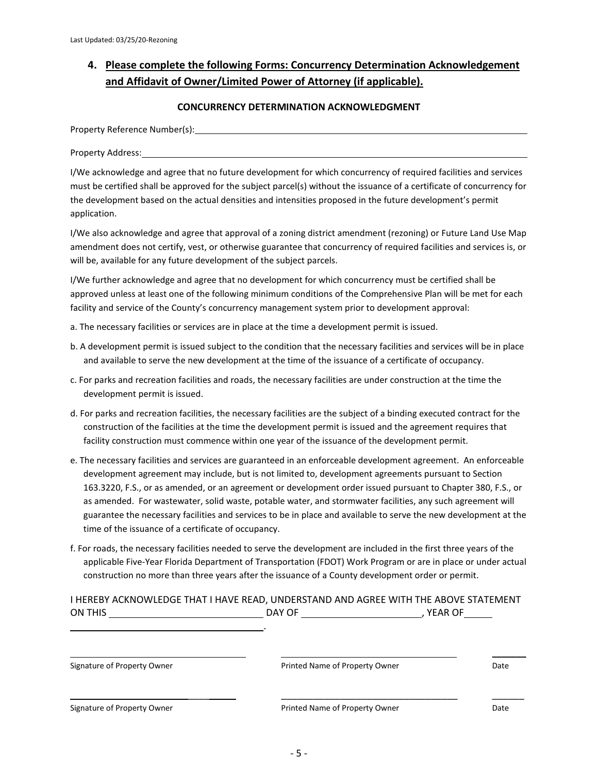## **4. Please complete the following Forms: Concurrency Determination Acknowledgement and Affidavit of Owner/Limited Power of Attorney (if applicable).**

#### **CONCURRENCY DETERMINATION ACKNOWLEDGMENT**

Property Reference Number(s): Name of the Contract of the Contract of the Contract of the Contract of the Contract of the Contract of the Contract of the Contract of the Contract of the Contract of the Contract of the Cont

Property Address:

I/We acknowledge and agree that no future development for which concurrency of required facilities and services must be certified shall be approved for the subject parcel(s) without the issuance of a certificate of concurrency for the development based on the actual densities and intensities proposed in the future development's permit application.

I/We also acknowledge and agree that approval of a zoning district amendment (rezoning) or Future Land Use Map amendment does not certify, vest, or otherwise guarantee that concurrency of required facilities and services is, or will be, available for any future development of the subject parcels.

I/We further acknowledge and agree that no development for which concurrency must be certified shall be approved unless at least one of the following minimum conditions of the Comprehensive Plan will be met for each facility and service of the County's concurrency management system prior to development approval:

- a. The necessary facilities or services are in place at the time a development permit is issued.
- b. A development permit is issued subject to the condition that the necessary facilities and services will be in place and available to serve the new development at the time of the issuance of a certificate of occupancy.
- c. For parks and recreation facilities and roads, the necessary facilities are under construction at the time the development permit is issued.
- d. For parks and recreation facilities, the necessary facilities are the subject of a binding executed contract for the construction of the facilities at the time the development permit is issued and the agreement requires that facility construction must commence within one year of the issuance of the development permit.
- e. The necessary facilities and services are guaranteed in an enforceable development agreement. An enforceable development agreement may include, but is not limited to, development agreements pursuant to Section 163.3220, F.S., or as amended, or an agreement or development order issued pursuant to Chapter 380, F.S., or as amended. For wastewater, solid waste, potable water, and stormwater facilities, any such agreement will guarantee the necessary facilities and services to be in place and available to serve the new development at the time of the issuance of a certificate of occupancy.
- f. For roads, the necessary facilities needed to serve the development are included in the first three years of the applicable Five-Year Florida Department of Transportation (FDOT) Work Program or are in place or under actual construction no more than three years after the issuance of a County development order or permit.

### I HEREBY ACKNOWLEDGE THAT I HAVE READ, UNDERSTAND AND AGREE WITH THE ABOVE STATEMENT ON THIS DAY OF , YEAR OF

| Signature of Property Owner | Printed Name of Property Owner | Date |
|-----------------------------|--------------------------------|------|
| Signature of Property Owner | Printed Name of Property Owner | Date |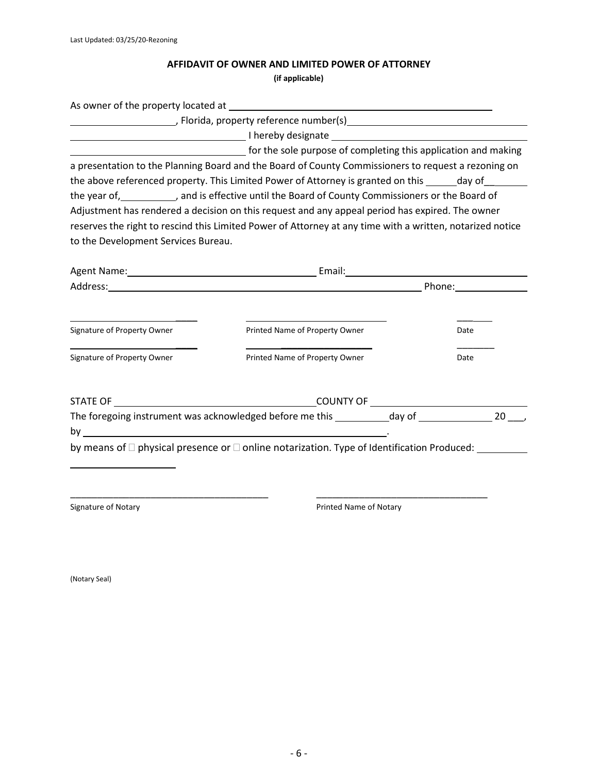# **AFFIDAVIT OF OWNER AND LIMITED POWER OF ATTORNEY**

**(if applicable)**

|                                                            | As owner of the property located at each control of the property of the property located at a set of the property of the set of the set of the set of the set of the set of the set of the set of the set of the set of the se           |              |
|------------------------------------------------------------|------------------------------------------------------------------------------------------------------------------------------------------------------------------------------------------------------------------------------------------|--------------|
|                                                            |                                                                                                                                                                                                                                          |              |
|                                                            | <b>Example 2018</b> Thereby designate <b>CONSIDERING CONSIDERING CONSIDERING</b> CONSIDERING CONSIDERING CONSIDERING CONSIDERING CONSIDERING CONSIDERING CONSIDERING CONSIDERING CONSIDERING CONSIDERING CONSIDERING CONSIDERING CONSIDE |              |
|                                                            | and the sole purpose of completing this application and making                                                                                                                                                                           |              |
|                                                            | a presentation to the Planning Board and the Board of County Commissioners to request a rezoning on<br>the above referenced property. This Limited Power of Attorney is granted on this day of                                           |              |
|                                                            | the year of, and is effective until the Board of County Commissioners or the Board of                                                                                                                                                    |              |
|                                                            | Adjustment has rendered a decision on this request and any appeal period has expired. The owner                                                                                                                                          |              |
|                                                            | reserves the right to rescind this Limited Power of Attorney at any time with a written, notarized notice                                                                                                                                |              |
| to the Development Services Bureau.                        |                                                                                                                                                                                                                                          |              |
|                                                            |                                                                                                                                                                                                                                          |              |
|                                                            |                                                                                                                                                                                                                                          |              |
| Signature of Property Owner<br>Signature of Property Owner | Printed Name of Property Owner<br>Printed Name of Property Owner                                                                                                                                                                         | Date<br>Date |
|                                                            |                                                                                                                                                                                                                                          |              |
|                                                            | The foregoing instrument was acknowledged before me this ___________day of _________________________                                                                                                                                     | 20           |
|                                                            |                                                                                                                                                                                                                                          |              |
|                                                            | by means of □ physical presence or □ online notarization. Type of Identification Produced: ________                                                                                                                                      |              |
|                                                            |                                                                                                                                                                                                                                          |              |
| Signature of Notary                                        | Printed Name of Notary                                                                                                                                                                                                                   |              |

(Notary Seal)